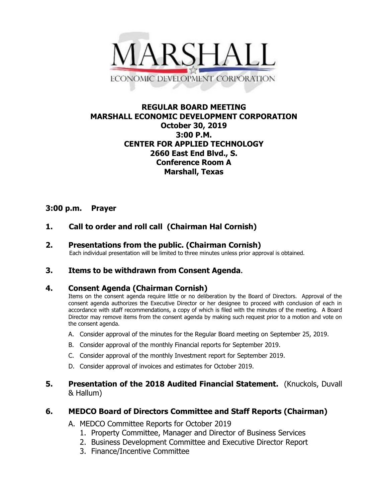

# **REGULAR BOARD MEETING MARSHALL ECONOMIC DEVELOPMENT CORPORATION October 30, 2019 3:00 P.M. CENTER FOR APPLIED TECHNOLOGY 2660 East End Blvd., S. Conference Room A Marshall, Texas**

## **3:00 p.m. Prayer**

# **1. Call to order and roll call (Chairman Hal Cornish)**

## **2. Presentations from the public. (Chairman Cornish)**

Each individual presentation will be limited to three minutes unless prior approval is obtained.

## **3. Items to be withdrawn from Consent Agenda.**

#### **4. Consent Agenda (Chairman Cornish)**

Items on the consent agenda require little or no deliberation by the Board of Directors. Approval of the consent agenda authorizes the Executive Director or her designee to proceed with conclusion of each in accordance with staff recommendations, a copy of which is filed with the minutes of the meeting. A Board Director may remove items from the consent agenda by making such request prior to a motion and vote on the consent agenda.

- A. Consider approval of the minutes for the Regular Board meeting on September 25, 2019.
- B. Consider approval of the monthly Financial reports for September 2019.
- C. Consider approval of the monthly Investment report for September 2019.
- D. Consider approval of invoices and estimates for October 2019.

## **5. Presentation of the 2018 Audited Financial Statement.** (Knuckols, Duvall & Hallum)

#### **6. MEDCO Board of Directors Committee and Staff Reports (Chairman)**

- A. MEDCO Committee Reports for October 2019
	- 1. Property Committee, Manager and Director of Business Services
	- 2. Business Development Committee and Executive Director Report
	- 3. Finance/Incentive Committee